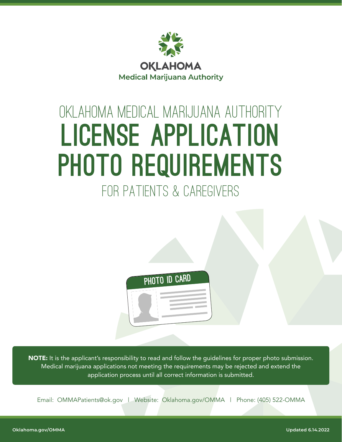

# oklahoma medical marijuana authority License Application PHOTO REQUIREMENTS for patients & Caregivers



**NOTE:** It is the applicant's responsibility to read and follow the guidelines for proper photo submission. Medical marijuana applications not meeting the requirements may be rejected and extend the application process until all correct information is submitted.

Email: [OMMAPatients@ok.gov](mailto:OMMAPatients@ok.gov) | Website: [Oklahoma.gov/OMMA](https://oklahoma.gov/omma.html) | Phone: (405) 522-OMMA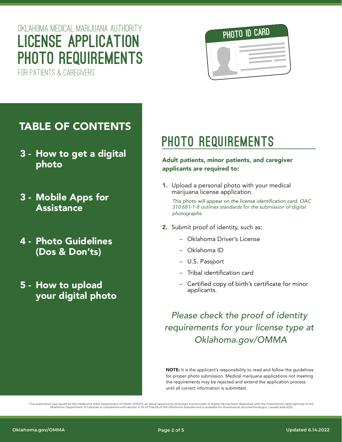### oklahoma medical marijuana authority License Application PHOTO REQUIREMENTS

for patients & Caregivers



#### TABLE OF CONTENTS

- 3 How to get a digital photo
- 3 Mobile Apps for **Assistance**
- 4 Photo Guidelines (Dos & Don'ts)
- 5 How to upload your digital photo

### PHOTO REQUIREMENTS

#### Adult patients, minor patients, and caregiver applicants are required to:

1. Upload a personal photo with your medical marijuana license application.

This photo will appear on the license identification card. OAC *310:681-1-8 outlines standards for the submission of digital*  photographs.

- 2. Submit proof of identity, such as:
	- Oklahoma Driver's License
	- Oklahoma ID
	- U.S. Passport
	- Tribal identification card
	- Certified copy of birth's certificate for minor applicants.

#### *Please check the proof of identity requirements for your license type at [Oklahoma.gov/OMMA](https://oklahoma.gov/omma.html)*

NOTE: It is the applicant's responsibility to read and follow the guidelines for proper photo submission. Medical marijuana applications not meeting the requirements may be rejected and extend the application process until all correct information is submitted.

This publication was issued by the Oklahoma State Department of Health (OSDH), an equal opportunity employer and provider. A digital file has been deposited with the Publications Clearinghouse of the GS of the Oklahoma Sta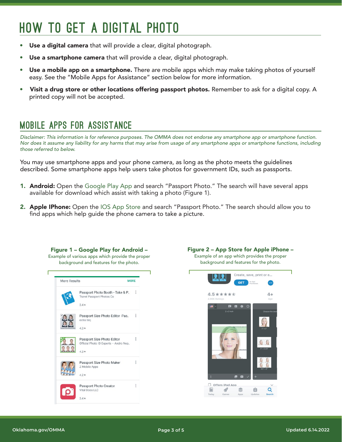## how to get a digital photo

- Use a digital camera that will provide a clear, digital photograph.
- Use a smartphone camera that will provide a clear, digital photograph.
- Use a mobile app on a smartphone. There are mobile apps which may make taking photos of yourself easy. See the "Mobile Apps for Assistance" section below for more information.
- Visit a drug store or other locations offering passport photos. Remember to ask for a digital copy. A printed copy will not be accepted.

#### mobile apps for assistance

*Disclaimer: This information is for reference purposes. The OMMA does not endorse any smartphone app or smartphone function. Nor does it assume any liability for any harms that may arise from usage of any smartphone apps or smartphone functions, including those referred to below.*

You may use smartphone apps and your phone camera, as long as the photo meets the guidelines described. Some smartphone apps help users take photos for government IDs, such as passports.

- **1. Android:** Open the Google Play App and search "Passport Photo." The search will have several apps available for download which assist with taking a photo (Figure 1).
- **2. Apple IPhone:** Open the IOS App Store and search "Passport Photo." The search should allow you to find apps which help guide the phone camera to take a picture.



Figure 2 – App Store for Apple iPhone – Example of an app which provides the proper background and features for the photo.

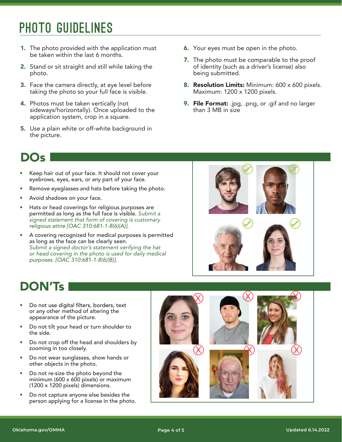### photo Guidelines

- 1. The photo provided with the application must be taken within the last 6 months.
- 2. Stand or sit straight and still while taking the photo.
- **3.** Face the camera directly, at eye level before taking the photo so your full face is visible.
- 4. Photos must be taken vertically (not sideways/horizontally). Once uploaded to the application system, crop in a square.
- 5. Use a plain white or off-white background in the picture.
- **6.** Your eyes must be open in the photo.
- **7.** The photo must be comparable to the proof of identity (such as a driver's license) also being submitted.
- 8. Resolution Limits: Minimum: 600 x 600 pixels. Maximum: 1200 x 1200 pixels.
- **9. File Format:** .jpg, .png, or .gif and no larger than 3 MB in size

#### DOs

- Keep hair out of your face. It should not cover your eyebrows, eyes, ears, or any part of your face.
- Remove eyeglasses and hats before taking the photo.
- Avoid shadows on your face.
- Hats or head coverings for religious purposes are permitted as long as the full face is visible. *Submit a signed statement that form of covering is customary*
- A covering recognized for medical purposes is permitted as long as the face can be clearly seen. *Submit a signed doctor's statement verifying the hat or head covering in the photo is used for daily medical*



#### DON'Ts

- Do not use digital filters, borders, text • or any other method of altering the appearance of the picture.
- Do not tilt your head or turn shoulder to the side.
- Do not crop off the head and shoulders by zooming in too closely.
- Do not wear sunglasses, show hands or other objects in the photo.
- Do not re-size the photo beyond the minimum (600 x 600 pixels) or maximum (1200 x 1200 pixels) dimensions.
- Do not capture anyone else besides the person applying for a license in the photo.